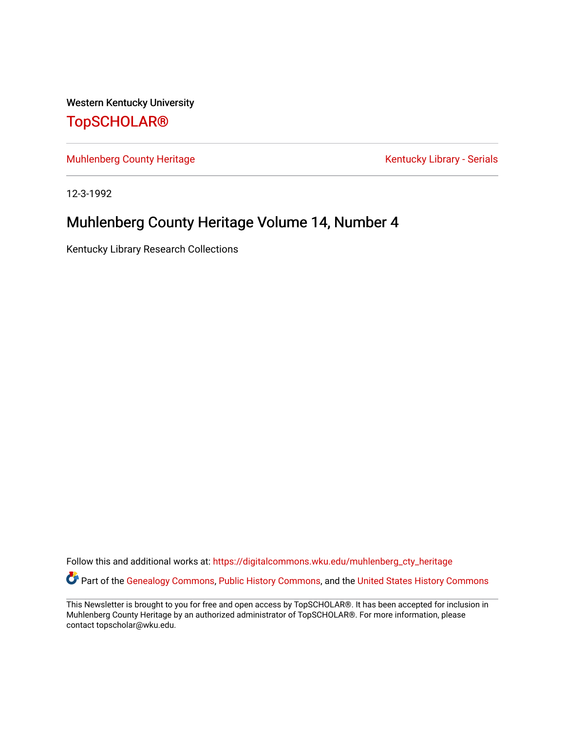Western Kentucky University [TopSCHOLAR®](https://digitalcommons.wku.edu/) 

[Muhlenberg County Heritage](https://digitalcommons.wku.edu/muhlenberg_cty_heritage) **Kentucky Library - Serials** Kentucky Library - Serials

12-3-1992

## Muhlenberg County Heritage Volume 14, Number 4

Kentucky Library Research Collections

Follow this and additional works at: [https://digitalcommons.wku.edu/muhlenberg\\_cty\\_heritage](https://digitalcommons.wku.edu/muhlenberg_cty_heritage?utm_source=digitalcommons.wku.edu%2Fmuhlenberg_cty_heritage%2F92&utm_medium=PDF&utm_campaign=PDFCoverPages)  Part of the [Genealogy Commons,](http://network.bepress.com/hgg/discipline/1342?utm_source=digitalcommons.wku.edu%2Fmuhlenberg_cty_heritage%2F92&utm_medium=PDF&utm_campaign=PDFCoverPages) [Public History Commons](http://network.bepress.com/hgg/discipline/1292?utm_source=digitalcommons.wku.edu%2Fmuhlenberg_cty_heritage%2F92&utm_medium=PDF&utm_campaign=PDFCoverPages), and the United States History Commons

This Newsletter is brought to you for free and open access by TopSCHOLAR®. It has been accepted for inclusion in Muhlenberg County Heritage by an authorized administrator of TopSCHOLAR®. For more information, please contact topscholar@wku.edu.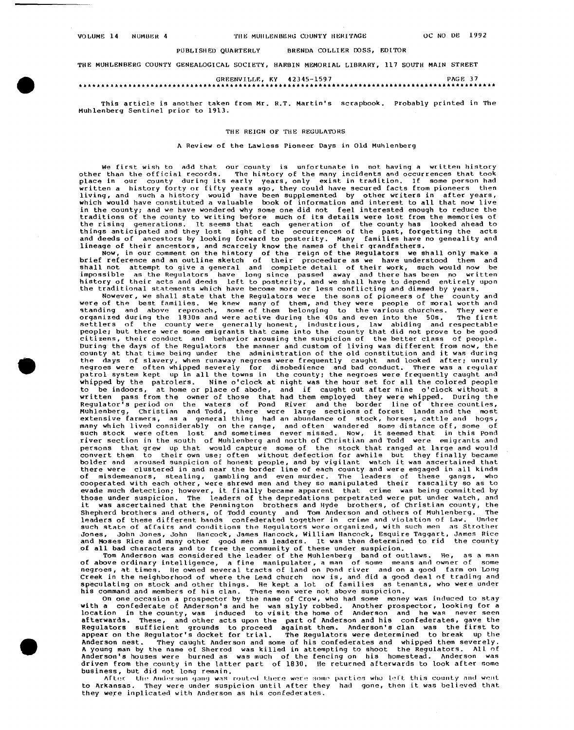### PUBLISHED OUARTERLY BRENDA COLLIER DOSS, EDITOR

THE MUHLENBERG COUNTY GENEALOGICAL SOCIETY, HARBIN MEMORIAL LIBRARY, 117 SOU'fH **MAIN** STREET

### GREENVILLE, KY 42345-1597 PAGE 37 \*\*\*\*\*\*\*\*\*\*\*\*\*\*\*\*\*\*\*\*\*\*\*\*\*\*\*\*\*\*\*\*

This article is another taken from Mr. R.T. Martin's scrapbook. Probably printed in The Muhlenberg Sentinel prior to 1913.

### THE REIGN OF THE REGULATORS

### A Review of the Lawless Pioneer Days in Old Muhlenberg

We first wish to add that our county is unfortunate in not having a written history other than the official records. The history of the many incidents and occurrences that took<br>place in our county during its early years, only exist in tradition. If some person had<br>written a history forty or fifty years ag in the county; and we have wondered why some one did not feel interested enough to reduce the<br>traditions of the county to writing before much of its details were lost from the memories of<br>the rising generations. It seems t

and deeds of ancestors by looking forward to posterity. Many families have no geneality and<br>lineage of their ancestors, and scarcely know the names of their grandfathers.<br>Now, in our comment on the history of the reign of

Nowever, we shall state that the Regulators were the sons of pioneers of the county and were of the best families. We knew many of them, and they were people of moral worth and were of the best families. We knew many of th standing and above reproach, some of them belonging to the various churches. They were<br>organized during the 1830s and were active during the 40s and even into the 50s. The first<br>settlers of the county were generally honest people; but there were some emigrants that came into the county that did not prove to be good citizens, their conduct and behavior arousing the suspicion of the better class of people. During the days of the Regulators the manner and custom of living was different from now, the county at that time being under the administration of the old constitution and it was during the days of slavery, when runaway negroes were frequently caught and looked after; unruly<br>negroes were often whipped severely for disobedience and bad conduct. There was a regular<br>patrol system kept up in all the towns in whipped by the patrolers. Nine o'clock at night was the hour set for all the colored people to be indoors, at home or place of abode, and if caught out after nine o'clock without a<br>written pass from the owner of those that had them employed they were whipped. During the<br>Regulator's period on the waters of Pond Ri many which lived considerably on the range, and often wandered some distance off, some of<br>such stock were often lost and sometimes never missed. Now, it seemed that in this pond<br>river section in the south of Muhlenberg and persons that grew up that would capture some of the stock that ranged at large and would convert them to their own use; often without defection for awhile but they finally became bolder and aroused suspicion of honest peop evade much detection; however, it finally became apparent that crime was being committed by<br>those under suspicion. The leaders of the depredations perpetrated were put under watch, and it was ascertained that the Pennington brothers and Hyde brothers, of Christian county, the<br>Shepherd brothers and others, of Todd county and Tom Anderson and others of Muhlenberg. The Shepherd brothers and others, of Todd county and Tom Anderson and others of Muhlenberg. The leaders of these different bands confederated together in crime and violation of Law. such state of affairs and conditions the Regulators were organized, with such men as Strother<br>Jones. John Jones. John Hancock. James Hancock. William Hancock. Esquire Taggart. James Rice John Jones, John Hancock, James Hancock, William Hancock, Esquire Taggart, James Rice and Moses Rice and many other good men r1s leaders. It was then determined to rid the county of all bad characters and to free the community of these under suspicion.

Tom Anderson was considered the leader of the Muhlenberg band of outlaws. He, as a man of above ordinary intelligence, a fine manipulater, a man of some means and owner of some negroes, at times. He owned several tracts of negroes, at times. He owned several tracts of land on Pond river and on a good farm on Long<br>Creek in the neighborhood of where the Lead church now is, and did a good deal of trading and speculating on stock and other things. He kept a lot of families as tenants, who were under<br>his command and members of his clan. These men were not above suspicion.

On one occasion a prospector by the name of Crow, who had some money was induced to stay<br>with a confederate of Anderson's and he was slyly robbed. Another prospector, looking for a<br>location in the county, was induced to vi Anderson nest. They caught Anderson and some of his confederates and whipped them severely.<br>A young man by the name of Sherrod was killed in attempting to shoot the Regulators. All of<br>Anderson's houses were burned as was m driven from the county in the latter part of 1830. He returned afterwards to look after some business, but did not long remain.

 $\Lambda$ fter the Anderson gang was routed there were some parties who left this county and went to Arkansas. They were under suspicion until after they had gone, then it was believed that they were inplicated with Anderson as his confederates.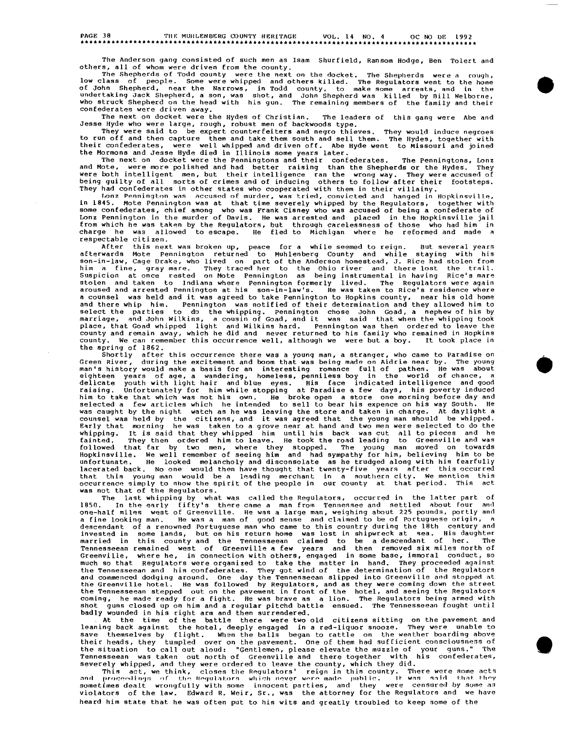## PAGE 38 TIii-: MUIILENB~~RG ffiUNTY HERITAGE VOL. 14 NO. 4 OC NO DI': 1992 ••••••••••••••••••••••••••••••••••••••••••••••••••••••••••••••••••••••••••••••••••••••••••

The Anderson gang consisted of such men as Isam Shurfield, Ransom Hodge, Ben Tolert and others, all of whom were driven from the county.

The Shepherds of Todd county were the next on the docket. The Shepherds were a rough,<br>low class of people. Some were whipped and others killed. The Regulators went to the home<br>of John Shepherd, near the Narrows, in Todd co confederates were driven away.

The next on docket were the Hydes of Christian. The leaders of this gang were Abe and Jesse Hyde who were large, rough, robust men of backwoods type.

They were said to be expert counterfeiters and negro thieves. They would induce negroes<br>to run off and then capture them and take them south and sell them. The Hydes, together with their confederates, were well whipped and driven off. Abe Hyde went to Missouri and joined the Mormons and Jesse Hyde died in Illinois some years later.

The next on docket were the Penningtons and their confederates. The Penningtons, Lonz and Mote, were more polished and had better raising than the Shepherds or the Hydes. They were both intelligent men, but their intelligence ran the wrong way. They were accused of<br>being guilty of all sorts of crimes and of inducing others to follow after their footsteps.<br>They had confederates in other states wh

Lonz Pennington was accused of murder, was tried, convicted and hanged in Hopkinsville, in 1845. Mote Pennington was at that time severely whipped by the Regulators, together with some confederates, chief among who was Frank Cisney who was accused of being a confederate of Lonz Pennington in the murder of Davis, He was arrested and placed in the Hopkinsville jail<br>from which he was taken by the Regulators, but through carelessness of those who had him in<br>charge he was allowed to escape. He fl respectable citizen.

After this next was broken up, peace for a while seemed to reign. But several years<br>afterwards Mote Pennington returned to Muhlenberg County and while staying with his<br>son-in-law, Cage Drake, who lived on part of the Ander a counsel was held and it was agreed to take Pennington to Hopkins county, near his old home and there whip him. Pennington was notified of their determination and they allowed him to select the parties to do the whipping. Pennington chose John Goad, a nephew of his by marriage, and John Wilkins, a cousin of Goad, county and remain away, which he did and never returned to his family who remained in Hopkins county. We can remember this occurrence well, although we were but a boy. It took place in

the spring of 1862.<br>Shortly after this occurrence there was a young man, a stranger, who came to Paradise on<br>Green River, during the excitement and boom that was being made on Aidrie near by. The young<br>man's history would eighteen vears of age, a wandering, homeless, penniless boy in the world of chance, a<br>delicate youth with light hair and blue eyes. His face indicated intelligence and good<br>raising. Unfortunately for him while stoping at P that this young man would be a leading merchant in a southern city. We mention this occurrence simply to show the spirit of the people in our county at that period. This act **was** not that of the Regulators.

ads not chat or one wegenerous.<br>The last whipping by what was called the Regulators, occurred in the latter part of<br>1850. In the early fifty's there came a man from Tennessee and settled about four and one-half miles west of Greenville. He was a large man, weighing about 225 pounds, portly and<br>a fine looking man. He was a man of good sense and claimed to be of Portuguese origin, a<br>descendant of a renowned Portuguese man much so that Regulators were organized to take the matter in hand. They proceeded against<br>the Tennesseean and his confederates. They got wind of the determination of the Regulators<br>and commenced dodging around. One day the shot guns closed up on him and a regular pitchd battle ensued. The Tennesseean fought until badly wounded in his right arm and then surrendered.

At the time of the battle there were two old citizens sitting on the pavement and leaning back against the hotel, deeply engaged in a red-liquor snooze. They were unable to save themselves by flight. When the balls began to rattle on the weather boarding above their heads, they tumpled over on the pavement. One of them had sufficient consciousness of<br>the situation to call out aloud: "Gentlemen, please elevate the muzzle of your guns." The<br>Tennesseean was taken out north of Green

severely whipped, and they were ordered to leave the county, which they did.<br>This act, we think, closes the Regulators' reign in this county. There were some acts<br>and proceedings of the Regulators which never were made pub sometimes dealt wrongfully with some innocent parties, and they were censured by some as violators of the law. Edward R. Weir, Sr., was the attorney for the Regulators and we have heard him state that he was often put to his wits and greatly troubled to keep some of the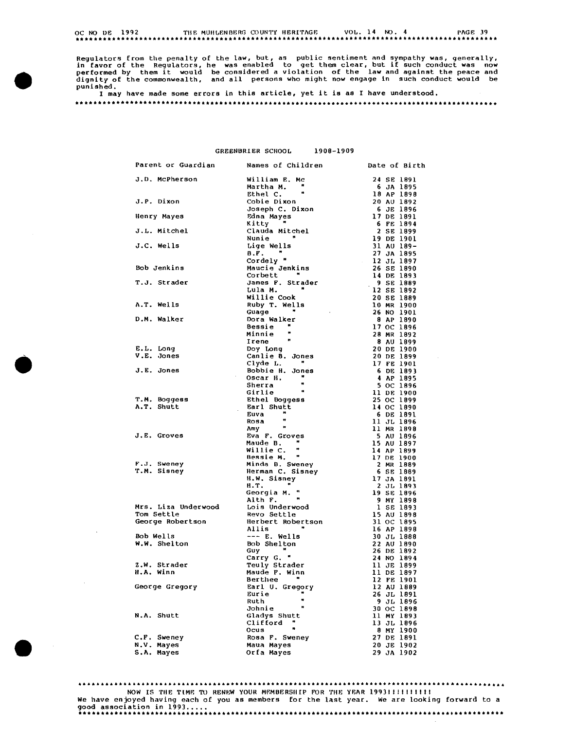OC NO DE 1992 THE MUHLENBERG COUNTY HERITAGE 50 VOL. 14 NO. 4 PAGE 39

Regulators from the penalty of the law, but, as public sentiment and sympathy was, generally, in favor of the Regulators, he was enabled to get them clear, but if such conduct was now performed by them it would be consider

I may have made some errors in this article, yet it **is as** I have understood.

GREENBRIER SCHOOL 1908-1909

| Parent or Guardian  | Names of Children                                                 | Date of Birth            |
|---------------------|-------------------------------------------------------------------|--------------------------|
| J.D. McPherson      | William E. Mc                                                     | 24 SE 1891               |
|                     | Martha M. "                                                       | 6 JA 1895                |
|                     | Ethel C.                                                          | 18 AP 1898               |
| J.P. Dixon          |                                                                   | 20 AU 1892               |
|                     | Cobie Dixon<br>Joseph C. Dixon                                    | 6 JE 1896                |
| Henry Mayes         | Edna Mayes                                                        | 17 DE 1891               |
|                     | Kitty "                                                           | 6 FE 1894                |
| J.L. Mitchel        | Clauda Mitchel                                                    | 2 SE 1899                |
|                     | Nunie "                                                           | 19 DE 1901               |
| J.C. Wells          | Lige Wells                                                        | 31 AU 189-               |
|                     | $B.F.$ $\blacksquare$                                             | 27 JA 1895               |
|                     | <b>B.F.</b><br>Cordely "<br>Maucie Jenkins                        | 12 JL 1897               |
| Bob Jenkins         |                                                                   | 26 SE 1890               |
|                     | Corbett "                                                         | 14 DE 1893               |
| T.J. Strader        |                                                                   | 9 SE 1889                |
|                     | James F. Strader<br>Lula M. <b>"</b><br>Lula M.                   | 12 SE 1892               |
|                     | Willie Cook                                                       | 20 SE 1889               |
| A.T. Wells          | Ruby T. Wells                                                     | 10 MR 1900               |
|                     | Guage "<br><b>Contractor</b>                                      |                          |
| D.M. Walker         | Dora Walker                                                       | 26 NO 1901<br>8 AP 1890  |
|                     | Bessie "                                                          |                          |
|                     | Minnie                                                            | 17 OC 1896               |
|                     |                                                                   | 28 MR 1892               |
|                     | <b>Irene "</b><br>Doy Long<br>Canlie B. Jones<br>Clyde L.   "     | 8 AU 1899                |
| E.L. Long           |                                                                   | 20 DE 1900               |
| V.E. Jones          |                                                                   | 20 DE 1899               |
|                     |                                                                   | 17 FE 1901               |
| J.E. Jones          | Bobbie H. Jones<br>$\sim 10^{-1}$<br>Oscar H. "                   | 6 DE 1893                |
|                     |                                                                   | 4 AP 1895                |
|                     |                                                                   | 5 OC 1896<br>11 DE 1900  |
| T.M. Boggess        | Oscar H. "<br>Sherra "<br>Girlie "<br>Ethel Boggess<br>Farl Chutt | 25 OC 1899               |
| A.T. Shutt          |                                                                   | 14 OC 1890               |
|                     | Earl Shutt<br>Euva                                                | 6 DE 1891                |
|                     | $\bullet$<br>Rosa                                                 | 11 JL 1896               |
|                     | $\lambda$ my $\stackrel{?}{\bullet}$                              | 11 MR 1898               |
| J.E. Groves         | Eva F. Groves<br>Maude B. "                                       | <b>5 AU 1896</b>         |
|                     |                                                                   | 15 AU 1897               |
|                     |                                                                   | 14 AP 1899               |
|                     | Hille C. "<br>Bessie M. "<br>Mindo C                              | 17 DE 1900               |
| F.J. Sweney         | Minda B. Sweney<br>Herman C. Sisney                               | 2 MR 1889                |
| T.M. Sisney         | Herman C. Sisney<br>H.W. Sissex                                   | 6 SE 1889                |
|                     | H.W. Sisney                                                       | 17 JA 1891               |
|                     | Н.Т.<br><b>Contract Contract</b>                                  | 2 JL 1893                |
|                     | Georgia M. "<br>Alth F. "                                         | 19 SE 1896               |
|                     |                                                                   | <b>9 MY 1898</b>         |
| Mrs. Liza Underwood | Lois Underwood                                                    | 1 SE 1893                |
| Tom Settle          | Revo Settle<br>Herbert Robertson                                  | 15 AU 1898               |
| George Robertson    | Allis                                                             | 31 OC 1895               |
| Bob Wells           | $--- E. Wells$                                                    | 16 AP 1898<br>30 JL 1888 |
| W.W. Shelton        | <b>Bob Shelton</b>                                                | 22 AU 1890               |
|                     | <b>Guy</b>                                                        | 26 DE 1892               |
|                     | Carry G. "                                                        | 24 NO 1894               |
| Z.W. Strader        | Teuly Strader                                                     | 11 JE 1899               |
| H.A. Winn           | Maude F. Winn                                                     | 11 DE 1897               |
|                     | Berthee                                                           | 12 FE 1901               |
| George Gregory      | Earl U. Gregory                                                   | 12 AU 1889               |
|                     | Eurie                                                             | 26 JL 1891               |
|                     | w<br>Ruth                                                         | 9 JL 1896                |
|                     | Ħ<br>Johnie                                                       | 30 OC 1898               |
| N.A. Shutt          | Gladys Shutt                                                      | 11 MY 1893               |
|                     | Clifford                                                          | 13 JL 1896               |
|                     | Ocus                                                              | 8 MY 1900                |
| C.F. Sweney         | Rosa F. Sweney                                                    | 27 DE 1891               |
| N.V. Mayes          | Maua Mayes                                                        | 20 JE 1902               |
| S.A. Mayes          | Orfa Mayes                                                        | 29 JA 1902               |

•

**.** 

 $\sim$   $\mu$ 

·····································································~························· NOW IS TIIE TIMP. TO REN~;W YOUR Mf.MBERSIIIP FOR THB YBAR 199311!1111111 We have en joyed having each of you as members for the last year. We are looking forward to a good association in 1993 ••.•. •••••••••••••••••••••••••••••••••••••••••••••••••••••••••••••••••••••••••••••••••••••••••••••••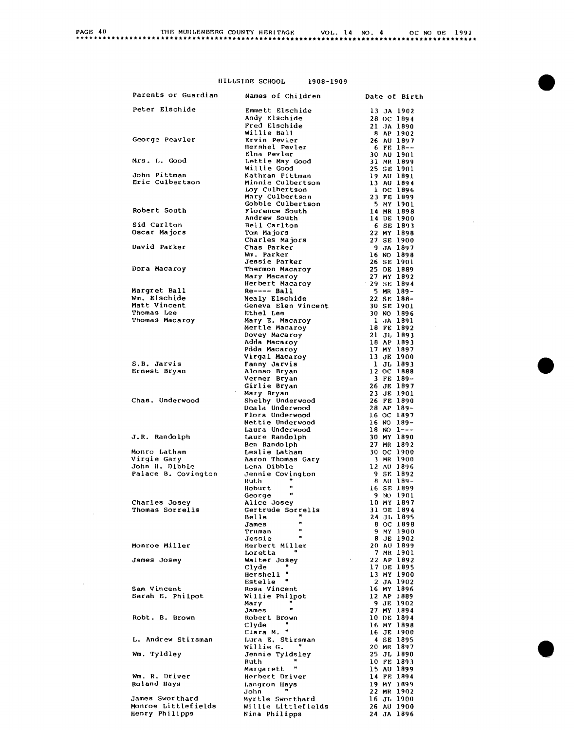| PAGE 40 | THE MUHLENBERG COUNTY HERITAGE |  | VOL. 14 NO. 4 |  | OC NO DE 1992 |  |
|---------|--------------------------------|--|---------------|--|---------------|--|
|         |                                |  |               |  |               |  |

| HILLSIDE SCHOOL |  | 1908-1909         |  |
|-----------------|--|-------------------|--|
| arðian          |  | Namon of Children |  |

| Parents or Guardian         | Names of Children                             | Date of Birth                          |
|-----------------------------|-----------------------------------------------|----------------------------------------|
| Peter Elschide              | Emmett Elschide                               | 13 JA 1902                             |
|                             | Andy Elschide                                 | 28 OC 1894                             |
|                             | Fred Elschide                                 | 21 JA 1890                             |
|                             | Willie Ball                                   | <b>8 AP 1902</b>                       |
| George Peavler              | <b>Ervin Pevler</b><br>Hershel Pevler         | 26 AU 1897                             |
|                             | Elna Pevler                                   | $6$ FE 18--<br><b>30 AU 1901</b>       |
| Mrs. L. Good                | Lettie May Good                               | $31$ MR $1899$                         |
|                             | Willie Good                                   | 25 SE 1901                             |
| John Pittman                | Kathran Pittman                               | 19 AU 1891                             |
| Eric Culbertson             | Minnie Culbertson<br>Loγ Culbertson           | 13 AU 1894                             |
|                             | Mary Culbertson                               | 1 OC 1896<br>23 FE 1899                |
|                             | Gobble Culbertson                             | <b>5 MY 1901</b>                       |
| Robert South                | Florence South                                | 14 MR 1898                             |
|                             | Andrew South                                  | 14 DE 1900                             |
| Sid Carlton<br>Oscar Majors | Bell Carlton<br>Tom Majors                    | 6 SE 1893                              |
|                             | Charles Majors                                | 22 MY 1898<br>27 SE 1900               |
| David Parker                | Chas Parker                                   | <b>9 JA 1897</b>                       |
|                             | Wm. Parker                                    | 16 NO 1898                             |
|                             | <b>Jessie Parker</b>                          | 26 SE 1901                             |
| Dora Macaroy                | Thermon Macaroy                               | 25 DE 1889                             |
|                             | Mary Macaroy<br>Herbert Macaroy 29 SE 1894    | 27 MY 1892                             |
| Margret Ball                | $Re---$ Ball                                  | 5 MR 189-                              |
| Wm. Elschide                | Nealy Elschide                                | 22 SE 188-                             |
| Matt Vincent                | Geneva Elen Vincent                           | 30 SE 1901                             |
| Thomas Lee                  | Ethel Lee                                     | 30 NO 1896                             |
| Thomas Macaroy              | Mary E. Macaroy<br>Mary E. Macaroy            | l JA 1891                              |
|                             |                                               | 18 FE 1892                             |
|                             |                                               | 21 JL 1893<br>18 AP 1893<br>18 AP 1893 |
|                             | Dovey Macaroy<br>Adda Macaroy<br>Pdda Macaroy | 17 MY 1897                             |
|                             | Virgal Macaroy<br>Fanny Jaruío                | 13 JE 1900                             |
| S.B. Jarvis                 | Fanny Jarvis                                  | 1 JL 1893                              |
| Ernest Bryan                | Alonso Bryan<br>Verner Bryan                  | 12 OC 1888<br>3 FE 189-                |
|                             | Girlie Bryan                                  | 26 JE 1897                             |
|                             | Mary Bryan                                    | 23 JE 1901                             |
| Chas. Underwood             | Shelby Underwood                              | 26 FE 1890                             |
|                             | Deala Underwood<br>Flora Underwood            | 28 AP 189-                             |
|                             | Nettie Underwood                              | 16 OC 1897<br>$16$ NO $189-$           |
|                             | Laura Underwood                               | $18 \, \text{NO}$ $1--$                |
| J.R. Randolph               | Laure Randolph                                | 30 MY 1890                             |
|                             | Ben Randolph                                  | 27 MR 1892                             |
| Monro Latham<br>Virgie Gary | Leslie Latham<br>Aaron Thomas Gary            | 30 OC 1900<br>3 MR 1900                |
| John H. Dibble              | Lena Dibble                                   | 12 AU 1896                             |
| Palace B. Covington         | Jennie Covington                              | 9 SE 1892                              |
|                             | Ruth                                          | 8 AU 189-                              |
|                             | $\bullet$<br>Hoburt<br>$\bullet$              | 16 SE 1899                             |
| Charles Josey               | George<br>Alice Josey                         | 9 NO 1901<br>10 MY 1897                |
| Thomas Sorrells             | Gertrude Sorrells                             | 31 DE 1894                             |
|                             | $\mathbf{H}$<br>Belle                         | 24 JL 1895                             |
|                             | $\mathbf{r}$<br>James                         | 8 OC 1898                              |
|                             | $\mathbf{m}$<br>Truman<br>$\bullet$           | 9 MY 1900                              |
| <b>Monroe Miller</b>        | Jessie<br>Herbert Miller                      | 8 JE 1902<br>20 AU 1899                |
|                             | Loretta                                       | 7 MR 1901                              |
| James Josey                 | Walter Josey                                  | 22 AP 1892                             |
|                             | Clyde                                         | 17 DE 1895                             |
|                             | Hershell "<br>Estelle "                       | 13 MY 1900                             |
| Sam Vincent                 | Rosa Vincent                                  | 2 JA 1902<br>16 MY 1896                |
| Sarah E. Philpot            | Willie Philpot                                | 12 AP 1889                             |
|                             | Mary                                          | 9 JE 1902                              |
|                             | $\mathbf{H}$<br>James                         | 27 MY 1894                             |
| Robt. B. Brown              | Robert Brown                                  | 10 DE 1894                             |
|                             | Clyde<br>Clara M. "                           | 16 MY 1898<br>16 JE 1900               |
| L. Andrew Stirsman          | Lura E. Stirsman                              | 4 SE 1895                              |
|                             | Willie G.                                     | 20 MR 1897                             |
| Wm. Tyldley                 | Jennie Tyldsley                               | 25 JL 1890                             |
|                             | Ruth                                          | 10 FE 1893                             |
| Wm. R. Driver               | Margarett "<br>Herbert Driver                 | 15 AU 1899<br>14 FE 1894               |
| Roland Hays                 | Langron Hays                                  | 19 MY 1899                             |
|                             | John                                          | 22 MR 1902                             |
| James Sworthard             | Myrtle Sworthard                              | 16 JL 1900                             |
| Monroe Littlefields         | Willie Littlefields                           | 26 AU 1900                             |
| Henry Philipps              | Nina Philipps                                 | 24 JA 1896                             |
|                             |                                               |                                        |

 $\mathcal{L}^{\text{max}}_{\text{max}}$  and  $\mathcal{L}^{\text{max}}_{\text{max}}$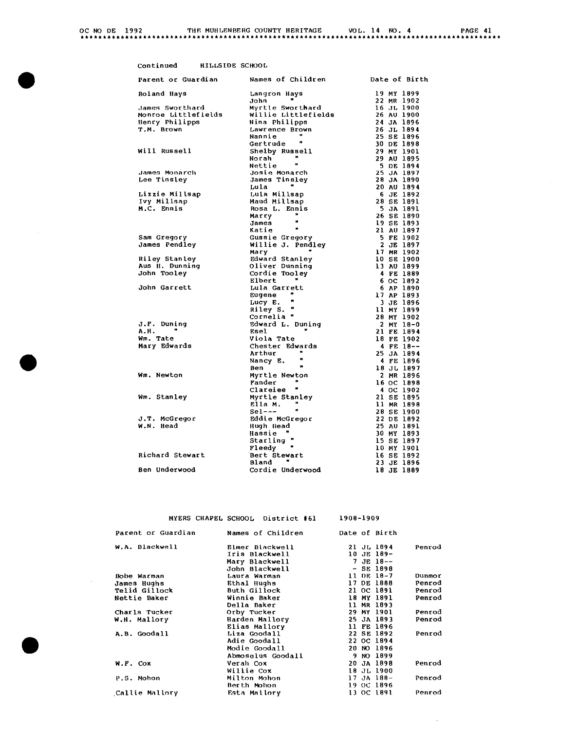| 2 AG F | 41 |  |
|--------|----|--|
|--------|----|--|

| Parent or Guardian            | Names of Children            | Date of Birth           |
|-------------------------------|------------------------------|-------------------------|
| Roland Hays                   | Langron Hays                 | 19 MY 1899              |
|                               | $\blacksquare$<br>John       | 22 MR 1902              |
| James Sworthard               | Myrtle Sworthard             | 16 JL 1900              |
| Monroe Littlefields           | Willie Littlefields          | 26 AU 1900              |
| Henry Philipps                | Nina Philipps                | <b>24 JA 1896</b>       |
| T.M. Brown                    | Lawrence Brown               | 26 JL 1894              |
|                               | Nannie                       | 25 SE 1896              |
|                               | $\mathbf{r}$<br>Gertrude     | 30 DE 1898              |
| Will Russell                  | Shelby Russell               | 29 MY 1901              |
|                               | Norah                        | 29 AU 1895              |
|                               | Nettie                       | 5 DE 1894               |
| James Monarch                 | Josie Monarch                | 25 JA 1897              |
| Lee Tinsley                   | James Tinsley                | 28 JA 1890              |
|                               | Lula                         | 20 AU 1894<br>6 JE 1892 |
| Lizzie Millsap<br>Ivy Millsap | Lula Millsap<br>Maud Millsap | 28 SE 1891              |
| M.C. Ennis                    | Rosa L. Ennis                | <b>5 JA 1891</b>        |
|                               | Marry                        | 26 SE 1890              |
|                               | w<br>James                   | 19 SE 1893              |
|                               | Ħ<br>Katie                   | 21 AU 1897              |
| Sam Gregory                   | Gussie Gregory               | 5 FE 1902               |
| James Pendley                 | Willie J. Pendley            | 2 JE 1897               |
|                               | Mary                         | 17 MR 1902              |
| Riley Stanley                 | Edward Stanley               | 10 SE 1900              |
| Aus H. Dunning                | Oliver Dunning               | <b>13 AU 1899</b>       |
| <b>John Tooley</b>            | Cordie Tooley                | 4 FE 1889               |
|                               | Elbert<br>w                  | 6 OC 1892               |
| John Garrett                  | Lula Garrett                 | 6 AP 1890               |
|                               | ×<br>Eugene<br>w             | 17 AP 1893              |
|                               | Lucy E.                      | 3 JE 1896               |
|                               | Riley S. "                   | 11 MY 1899              |
|                               | Cornelia "                   | 28 MY 1902              |
| J.F. Duning<br>A.H.           | Edward L. Duning<br>Esel     | 2 MY 18-0<br>21 FE 1894 |
| Wm. Tate                      | Viola Tate                   | 18 FE 1902              |
| Mary Edwards                  | Chester Edwards              | 4 FE 18--               |
|                               | Arthur                       | 25 JA 1894              |
|                               | w<br>Nancy E.                | 4 FE 1896               |
|                               | $\bullet$<br>Ben             | 18 JL 1897              |
| Wm. Newton                    | Myrtle Newton                | 2 MR 1896               |
|                               | Fander                       | 16 OC 1898              |
|                               | Clareiee "                   | 4 OC 1902               |
| Wm. Stanley                   | Myrtle Stanley               | 21 SE 1895              |
|                               | Ella M.                      | 11 MR 1898              |
|                               | $Set---$                     | 28 SE 1900              |
| J.T. McGregor                 | Eddie McGregor               | 22 DE 1892              |
| W.N. Head                     | Hugh Head                    | 25 AU 1891              |
|                               | Hassie                       | 30 MY 1893              |
|                               | Starling "                   | 15 SE 1897              |
|                               | $\bullet$<br>Fleedy          | 10 MY 1901              |
| Richard Stewart               | Bert Stewart                 | 16 SE 1892              |
|                               | <b>Bland</b>                 | 23 JE 1896              |
| Ben Underwood                 | Cordie Underwood             | 18 JE 1889              |

MYERS CHAPEL SCHOOL District **161** 1908-1909

 $\sim$ 

| Parent or Guardian | Names of Children |  | Date of Birth  |        |
|--------------------|-------------------|--|----------------|--------|
| W.A. Blackwell     | Elmer Blackwell   |  | 21 JL 1894     | Penrod |
|                    | Iris Blackwell    |  | 10 JE 189-     |        |
|                    | Mary Blackwell    |  | $7$ JE 18--    |        |
|                    | John Blackwell    |  | $-$ SE 1898    |        |
| Bobe Warman        | Laura Warman      |  | 11 DE 18-7     | Dunmor |
| James Hughs        | Ethal Hughs       |  | 17 DE 1888     | Penrod |
| Telid Gillock      | Buth Gillock      |  | 21 OC 1891     | Penrod |
| Nettie Baker       | Winnie Baker      |  | 18 MY 1891     | Penrod |
|                    | Della Baker       |  | 11 MR 1893     |        |
| Charls Tucker      | Orby Tucker       |  | 29 MY 1901     | Penrod |
| W.H. Mallory       | Harden Mallory    |  | 25 JA 1893     | Penrod |
|                    | Elias Mallory     |  | 11 FE 1896     |        |
| A.B. Goodall       | Liza Goodall      |  | 22 SE 1892     | Penrod |
|                    | Adie Goodall      |  | 22 OC 1894     |        |
|                    | Modie Goodall     |  | 20 NO 1896     |        |
|                    | Abmoselus Goodall |  | 9 NO 1899      |        |
| W.F. COX           | Verah Cox         |  | 20 JA 1898     | Penrod |
|                    | Willie Cox        |  | 18 JL 1900     |        |
| P.S. Mohon         | Milton Mohon      |  | $17$ JA $188-$ | Penrod |
|                    | Berth Mohon       |  | 19 OC 1896     |        |
| Callie Mallory     | Esta Mallory      |  | 13 OC 1891     | Penrod |
|                    |                   |  |                |        |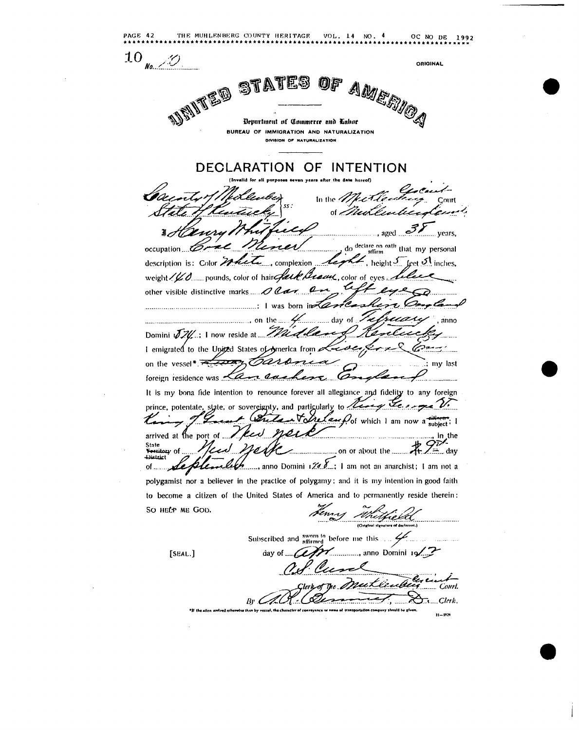THE MUHLENBERG COUNTY HERITAGE VOL. 14 NO. 4 PAGE 42 OC NO DE 1992 10  $No...$ **ORIGINAL** OF AMERICA ST Department of Commerce and Labor BUREAU OF IMMIGRATION AND NATURALIZATION DIVIBION OF NATURALIZATION **DECLARATION** OF INTENTION In the  $\sigma$ Court .., aged ... years, do declare on oath that my personal occupation description is: Color Macle complexion , height  $J_{\dots}$  (eet  $J_{\dots}$  inches, weight / V.O...... pounds, color of hair fact & Braus, color of eyes. other visible distinctive marks  $\mathscr{O}$  Car Que  $\ldots$  is a local contract of the set of the set of the set of the set of the set of the set of the set of the set of the set of the set of the set of the set of the set of the set of the set of the set of the set of the s ..... day of anno Domini JIU: I now reside at Mudle I emigrated to the United States of America from on the vessel\*.7 <del>tuan</del> Oar my last foreign residence was <a> It is my bona fide intention to renounce forever all allegiance and fidelity to any foreign Les pé V. prince, potentate, state, or sovereignty, and particularly to رید Voltation of which I am now a subject: I arrived at the port of ... ........, in the State **Vertilary of ...**<br>District  $X \neq Z$  day ......, anno Domini 1 $\mathcal{U}$   $\mathcal{L}$  : 1 am not an anarchist; 1 am not a  $of...$ polygamist nor a believer in the practice of polygamy; and it is my intention in good faith to become a citizen of the United States of America and to permanently reside therein: SO HELP ME GOD. Subscribed and sworn to before me this .... ., anno Domini 19 [SEAL.] day of  $\mathcal{L}$ Court.  $Br \mathcal{L}$  $\mathbb{R}$ ....Clerk.  $11 - 2526$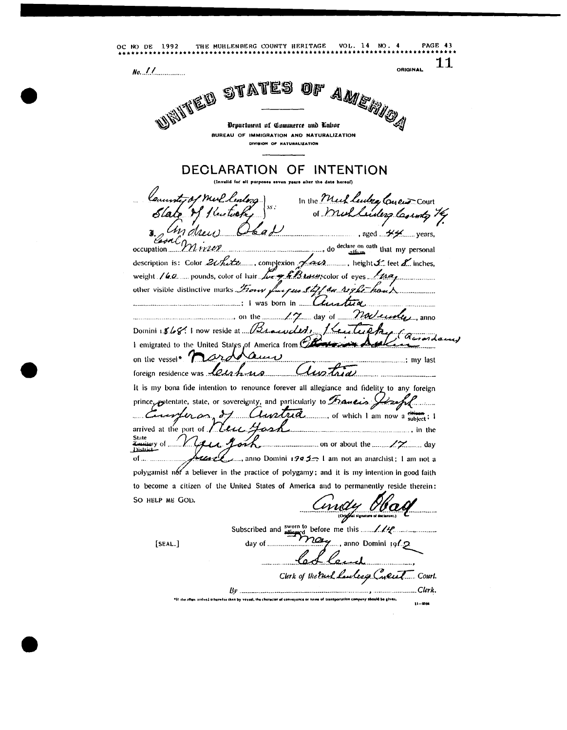OC NO DE 1992 THE MUHLENBERG COUNTY HERITAGE VOL. 14 NO. 4 **PAGE 43** 11 **ORIGINAL**  $No.$   $11$ STATES AMERICA 012 UBITED Department of Commerce and Labor BUREAU OF IMMIGRATION AND NATURALIZATION DIVISION OF NATURALIZATION DECLARATION OF INTENTION In the Meck leaders Coyeur Court of Mullederg County 74 M drei  $\frac{1}{2}$ , aged  $\frac{1}{2}$ , aged  $\frac{1}{2}$ , years, ......, do declare on eath that my personal occupation...  $.11220$ description is: Color 21 hite ......., complexion Law .........., height J. feet L. inches, weight  $/(6.2)$  pounds, color of hair  $\sqrt{4\pi r}$   $\sqrt{6}B$  *town* color of eyes  $/$   $/47a$ , other visible distinctive marks *From fue cus Stiff on right han* X 1 was born in Chartier ... november anno  $\ldots$  day of  $\ldots$ Domini 1868: I now reside at 1/21 acreded, 1 emigrated to the United States of America from  $\mathfrak C$ on the vessel<sup>\*</sup> ard Am  $\cdots$   $\cdots$   $\cdots$  nv last Clustria foreign residence was letah us It is my bona fide intention to renounce forever all allegiance and fidelity to any foreign prince, potentate, state, or sovereignty, and particularly to Francis Joseph  $\alpha$ ,  $\delta$ 1 *Clantera* ........., of which I am now a subject: I enerfer arrived at the port of Leu Yas State  $\ldots$  on or about the  $\ldots$  / $\gamma$  day iry of . District  $of...$  $\Box$  anno Domini 1995 $\Box$  I am not an anarchist; I am not a polygamist not a believer in the practice of polygamy; and it is my intention in good faith to become a citizen of the United States of America and to permanently reside therein: SO HELP ME GOD. indy Ha  $\bm{\gamma}$ a ., anno Domini 191. $2$  $[SEAL.]$ day of ... Clerk of the Puel lawlescy Cyclet Court. Clerk.  $Bv$  ...... len arrived otherwise than by vessel, the charac  $11 - 150$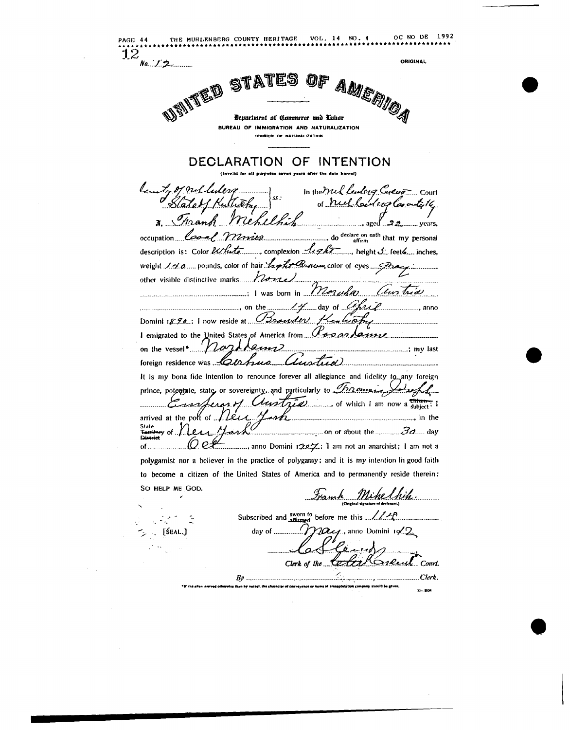OC NO DE 1992 THE MUHLENBERG COUNTY HERITAGE VOL. 14 NO. 4 PAGE 44  $\overline{12}$ ORIGINAL  $No... 12$ OF AMERICA USINTED ES ST Department of Commerce and Labor BUREAU OF IMMIGRATION AND NATURALIZATION DIVIBION OF NATURALIZATION DECLARATION OF INTENTION (Invalid for all nurnoses saven years) ty of nul lulero s. In the Mul leaders Creen count ... occupation Coal Winnipeg and declare on eath that my personal description is: Color et that complexion light is height I feet a inches, other visible distinctive marks. Panal  $\cdots$  i was born in Moruha Un trid 14 day of Chris .............**,** anno Domini 18.90; I now reside at Brander Healtopy I emigrated to the United States of America from Class on lamme on the vessel\* Magdlems ................................; my last (Instrict) foreign residence was Carpus. It is my bona fide intention to renounce forever all allegiance and fidelity to any foreign prince, potentiale, state or sovereignty, and particularly to Tracemers, arrived at the poli of *I Lear Lash* means and the State<br>Territory of ... Mark  $\rho_{\mathcal{A}}$ Q etterminimum, anno Domini 1207; I am not an anarchist; I am not a  $of...$ polygamist nor a believer in the practice of polygamy; and it is my intention in good faith to become a citizen of the United States of America and to permanently reside therein: SO HELP ME GOD. Frank Mikelhip Subscribed and  $\frac{\text{sworn to}}{\text{affirmed}}$  before me this  $\frac{1}{\sqrt{2\pi}}$  $\gamma$   $\alpha$ , anno Domini  $19.2$ day of ........... [ŚEAL.] Geing Color Kirewit Court. Clerk of the  $Bv$  ... name of transportation company should be given.  $11 - 2520$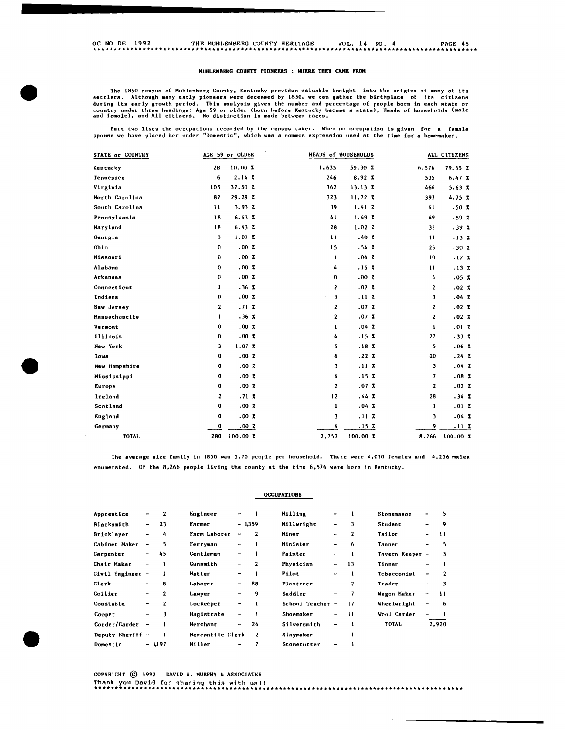### MUHLENBERG COUNTY PIONEERS WHERE THEY **CAME FROM**

The 1850 census of Muhlenberg County, Kentucky provides valuable insight into the origins of many of its<br>dettlers. Although many early pioneers were deceased by 1850, we can gather the birthpiace of its citizens<br>during its

Part two lists the occupations recorded by the census taker. When no occupation is given for a female<br>spouse we have placed her under "Domestic", which was a common expression used at the time for a homemaker.

| STATE or COUNTRY |             | AGE 59 or OLDER |              | HEADS of HOUSEHOLDS |               | ALL CITIZENS |
|------------------|-------------|-----------------|--------------|---------------------|---------------|--------------|
| Kentucky         | 28          | 10.00 Z         | 1,635        | 59.30 %             | 6,576         | 79.55Z       |
| <b>Tennessee</b> | 6           | 2.14Z           | 246          | 8.92Z               | 535           | 6.47Z        |
| Virginia         | 105         | 37.50Z          | 362          | 13.13Z              | 466           | 5.63Z        |
| North Carolina   | 82          | 29.29Z          | 323          | 11.72Z              | 393           | 4.75Z        |
| South Carolina   | 11          | 3.93Z           | 39           | 1.41Z               | 41            | .50 Z        |
| Pennsylvania     | 18          | 6.43Z           | 41           | 1.49Z               | 49            | .59 %        |
| Maryland         | 18          | 6.43Z           | 28           | 1.02Z               | 32            | .39Z         |
| Georgia          | 3           | 1.07Z           | $\mathbf{1}$ | .40Z                | $\mathbf{11}$ | .13Z         |
| Ohio             | 0           | .00Z            | 15           | .54Z                | 25            | .30Z         |
| Missouri         | 0           | .00Z            | 1            | .04Z                | 10            | .12Z         |
| Alabama          | 0           | .00Z            | 4            | .15Z                | $\mathbf{1}$  | .13Z         |
| Arkansas         | 0           | .00Z            | $\mathbf 0$  | .00Z                | 4             | .05Z         |
| Connecticut      | 1           | .36Z            | $\mathbf{z}$ | .07Z                | $\mathbf{2}$  | .02Z         |
| Indiana          | 0           | .00Z            | 3            | .11Z                | 3             | .04Z         |
| New Jersey       | 2           | .71Z            | 2            | .07Z                | 2             | .02Z         |
| Massachusetts    | 1           | .36Z            | 2            | .07Z                | 2             | .02Z         |
| Vermont          | 0           | .00Z            | $\mathbf{1}$ | .04Z                | 1             | .01Z         |
| Illinois         | 0           | .00Z            | 4            | .15Z                | 27            | .33Z         |
| New York         | 3           | 1.07Z           | 5            | .18Z                | 5             | .06Z         |
| Iova             | 0           | .00Z            | 6            | .22Z                | -20           | .24Z         |
| New Hampshire    | 0           | .00Z            | 3            | .11Z                | $\mathbf{3}$  | .04Z         |
| Mississippi      | 0           | .00Z            | 4            | .15Z                | 7             | .08Z         |
| Europe           | 0           | .00Z            | 2            | .07Z                | $\mathbf{2}$  | .02Z         |
| Ireland          | 2           | .71Z            | 12           | .44Z                | 28            | .34Z         |
| Scotland         | $\mathbf 0$ | .00Z            | 1            | .04Z                | 1             | .01Z         |
| England          | 0           | .00Z            | 3            | .11Z                | 3             | .04Z         |
| Germany          | 0           | .00Z            | 4            | .15Z                | 9             | .11Z         |
| <b>TOTAL</b>     | 280         | 100.00Z         | 2,757        | 100.00Z             | 8,266         | 100.00Z      |

The average size family in 1850 was 5.70 people per household. There were 4,010 females and 4,256 males enumerated, Of the 8,266 people living the county at the time 6,576 were born in Kentucky.

**OCCUPATIONS** 

| Apprentice       | ۰                            | 2              | Engineer         | $\overline{\phantom{a}}$ |                | Milling          | $\overline{\phantom{0}}$ | ı   | Stonemason      | -                        | 5              |
|------------------|------------------------------|----------------|------------------|--------------------------|----------------|------------------|--------------------------|-----|-----------------|--------------------------|----------------|
| Blacksmith       | $\overline{\phantom{a}}$     | 23             | Farmer           |                          | $-1.359$       | Millwright       | $\blacksquare$           | 3   | Student         | ٠                        | 9              |
| Bricklayer       | $\overline{\phantom{a}}$     | 4              | Farm Laborer     | $\overline{\phantom{a}}$ | $\mathbf{2}$   | Miner            | -                        | 2   | Tailor          | -                        | 11             |
| Cabinet Maker    | $\qquad \qquad \blacksquare$ | 5              | Ferryman         | -                        | 1              | Minister         |                          | 6   | Tanner          | -                        | 5              |
| Carpenter        | ۰                            | 45             | Gentleman        | -                        |                | Painter          | $\overline{\phantom{a}}$ | 1   | Tavern Keeper - |                          | 5              |
| Chair Maker      | $\qquad \qquad \blacksquare$ | 1              | Gunsmith         | $\overline{\phantom{m}}$ | $\mathbf{2}$   | Physician        | $\overline{\phantom{a}}$ | 13  | Tinner          | -                        | -1             |
| Civil Engineer   | $\overline{\phantom{a}}$     | 1              | Hatter           | $\overline{\phantom{a}}$ | 1              | Pilot            | $\blacksquare$           | 1   | Tobacconist     | -                        | $\overline{2}$ |
| Clerk            | ۰                            | 8              | Laborer          | $\overline{\phantom{a}}$ | 88             | Plasterer        | -                        | 2   | Trader          | $\overline{\phantom{0}}$ | 3              |
| Collier          | $\qquad \qquad \blacksquare$ | $\overline{2}$ | Lawyer           | -                        | 9              | Saddler          | -                        | 7   | Wagon Maker     | ٠                        | -11            |
| Constable        | -                            | 2              | Lockeeper        | $\overline{\phantom{a}}$ | -1             | School Teacher - |                          | 17  | Wheelwright     | -                        | -6             |
| Cooper           | -                            | з              | Magistrate       | -                        |                | Shoemaker        | -                        | -11 | Wool Carder     | -                        |                |
| Corder/Carder    | $\overline{\phantom{a}}$     |                | Merchant         | $\overline{\phantom{a}}$ | 24             | Silversmith      | ٠                        | 1   | <b>TOTAL</b>    |                          | 2,920          |
| Deputy Sheriff - |                              |                | Mercantile Clerk |                          | $\overline{2}$ | Slaymaker        | ۰                        | -1  |                 |                          |                |
| Domestic         |                              | - 1197         | Miller           | -                        |                | Stonecutter      | ٠                        |     |                 |                          |                |

COPYRIGHT @ 1992 DAVID W, MURPHY & ASSOCIATES Thank you David for sharing this with us!! ··························································································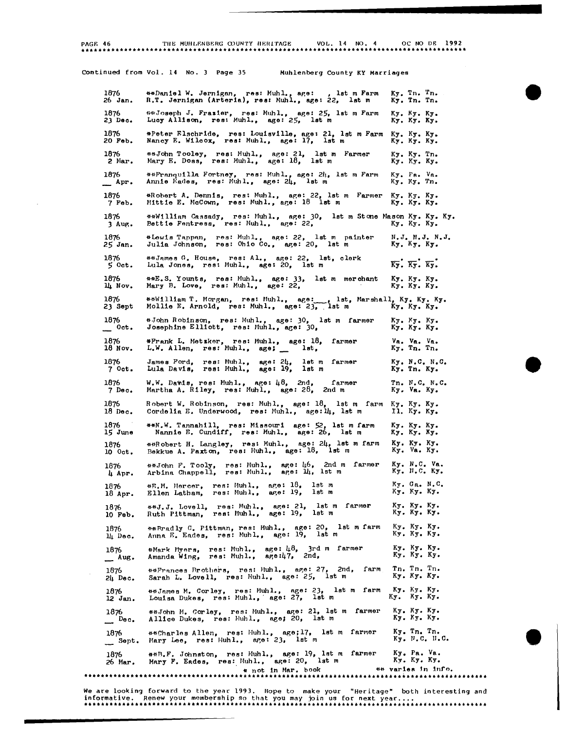**PAGE 46** 

### THE MUHLENBERG COUNTY HERITAGE VOL. 14 NO. 4 OC NO DE 1992

### Continued from Vol. 14 No. 3 Page 35 Muhlenberg County KY Marriages

1876 26 Jan. 1876 2J **Dec.**  1876 20 **Feb.**  1876 2 Mar. 1876  $\mathbb{L}$  Apr. 1876 7 Feb. 1876 3 Aug. 1876 25 Jan. 1876  $5$  Oct. 1876 14 Nov. 1876 23 Sept 1876  $\overline{\phantom{a}}$  oct. 1876 18 Nov. 1876 7 Oct. 1876 7 Dec. 1876 18 Dec. 1876 15 June 1876 10 Oct, 1876 4 Apr. 1876 18 Apr. 1876 10 Feb. 1876 14 Dec. 1876  $-$  Aug. 1876 *2li* Dec. 1876 12 Jan. 1876  $\mathbf{D}_{\mathbf{e}}$   $\mathbf{D}_{\mathbf{e}}$   $\mathbf{c}_{\bullet}$ 1876  $\qquad \qquad$  Sept. 1876 26 Har. \*\*Daniel W. Jernigan, **res: Muhl., age: , lst m Farm**<br>R.T. Jernigan (Arteria), res: Muhl., age: 22, lst m <sup>448</sup>Joseph J. Frazier, res: Muhl., age: 25, lst m Farm<br>Lucy Allison, res: Muhl., age: 25, lst m \*Peter Elschride, res: Louisville, age: 21, lst m Farm<br>Nancy E. Wilcox, res: Muhl., age: 17, lst m \*\*John Tooley, res: Muhl., age: 21, lst m Farmer<br>Mary E. Doss, res: Muhl., age: 18, lst m **\*\*Franquilla Fortney, res: Muhl., age: 24, lst m Farm<br>Annie Eades, res: Muhl., age: 24, lst m** \*Rohert A. Dennis, res: Muhl., age: 22, lst m **Farmer**<br>Mittie E. McCown, res: Muhl., age: 18 lst m Ky. Tn. Tn. Ky. Tn. Tn. Ky. Ky. Ky. Ky. Ky. Ky, Ky. Ky. Ky. Ky. Ky. Ky. Ky. Ky. Tn. Ky. Ky. Ky. Ky• Pa. Vo. Ky. Ky. Tn. Ky. Ky. Ky, Ky. Ky. Ky. u\*William Cassady, res: Muhl,, aP,el JO, Bettie Fentress, res: Muhl., ap:e: 22, let III St one Mason Ky. Ky. Ky, Ky. Ky, Ky. \*Lewis Tappan, res: Muhl., age: 22, lst m painter<br>Julia Johnson, res: Ohio Co., age: 20, lst m \*\*James G. House, res: Al., age: 22, lst, clerk<br>Lula Jones, res: Muhl., age: 20, lst m \*\*E.s. Younts, Mary B. Love, res: Muhl,, **res:** Muhl,, age: 33, **age:** 22, 1st 111 111erohant N,J. N,J. N.J, Ky, Ky. Ky.  $\overline{Ky}$ .  $\overline{Ky}$ .  $\overline{Ky}$ . Ky. Ky. Ky. Ky. Ky. Ky. \*\*William T. Morgan, res: Muhl., age: \_\_, lst, Marshall, Ky. Ky. Ky.<br>Mollie E. Arnold, res: Muhl., age: 23, lst man My. Ky. Ky. #John Robinson, res: Muhl., age: 30, lst m farmer<br>Josephine Elliott, res: Muhl., age: 30, #Frank L. Metzker, res: Muhl., age: 18, farmer<br>L.W. Allen, res: Muhl., age; \_\_ lst, James Ford, res: Muhl., age: 24, lst m farmer<br>Lula Davis, res: Muhl., age: 19, lst m W.W. Davis, res: Muhl., age: 48, 2nd, far**ry, 198, 201, 198, 198, 198, 198, 198, 1**<br>Marth<mark>a A. Riley, res: Muhl., age: 28, 2nd</mark> m farmer Robert W. Robinson, res: Muhl., age: 18, lst m farm<br>Cordelia E. Underwood, res: Muhl., age:14, lst m \*\*N.W. Tannahill, res: Missouri age: 52, lst m farm Nannie E. Cundiff, res: Muhl., age: 26, lst m \*\*Robert H. Langley, res: Muhl., age: 24, lst m farm<br>Bekkue A. Paxton, res: Muhl., age: 18, lst m \*\*John F. Tooly, res: Muhl., age: 46, 2nd m farmer<br>Arbina Chappell, res: Muhl., age: 14, 1st m #E.M. Mercer,<br>Ellen Latham, res: Muhl., age: 18, Ist m<br>res: Muhl., age: 19, Ist m \*\*J.J. Lovell, res: Muhl., age: 21, lst m farmer<br>Ruth Pittman, res: Muhl., age: 19, lst m \*\*Rradly C. Pittman, res: Muhl., age: 20, 1st m farm<br>Anna E. Eades, res: Muhl., age: 19, 1st m \*Mark Myers, res: Muhl., age: 48,<br>Amanda Wing, res: Muhl., age:47, age: 48, 3rd m farmer<br>age:47, 2nd, ##Frances Brothers, res: Muhl., age: 27, 2nd, farm<br>Sarah L. Lovell, res: Muhl., age: 25, 1st m **\*\*James M. Corley, res: Muhl., age: 23, lst m farm**<br>Louisa Dukes, res: Muhl., age: 27, lst m \*\*John M. Corley, res: Muhl., age: 21, lst m farmer<br>Allice Dukes, res: Huhl., age; 20, lst m ##Charles Allen, res: Huhl., age;17, lst m farmer Mary Lee, res: Huhl., age: 23, 1st m Ky. Ky. Ky. Ky. Ky. Ky. **Va.**  Ky. Va. Va. Tn. Tn, Ky. Ky. N.C. N .c. Tn. Ky. Tn. Ky. 11, c • N, C. **Va.** Ky. Ky. Ky. Ky.<br>Il. Ky. Ky. Ky. Ky. Ky. Ky. Ky. Ky. Ky, Ky. Ky. Ky. Va. Ky, Ky. N.C. Va.<br>Ky. N.C. Ky. Ky. Ga. N,C. Ky. Ky. Ky. Ky, Ky, Ky. Ky. Ky. Ky. Ky. Ky. Ky. Ky, Ky. Ky. Ky. Ky. Ky.<br>Ky. Ky. Ky. Tn. Tn. Tn.<br>Ky. Ky. Ky. Ky. Ky. Ky, Ky. Ky. Ky. Ky. Ky. Ky. Tn. Tn.<br>Ky. F.C. H.C. Ky. Ky. "· c. Ky. Ky, Ky. Ky. Ky. \*\*n,F. ,Tohneton, res: Muhl,, age: 19, 1st 111 .far111er Ky. Pa. Va, Mnry F. End es, res:. Huh 1., **age:** 20, 1st III Ky. Ky• Ky• \* not in Har. book \*\* **varie11** In l.nro • ••••••••••••••••••••••••••••••••••••••••••••••••••••••••••••••••••••••••••••••••••••••••••••••

We are looking forward to the year 1993. Hope to make your "Heritage" both interesting and informative. Renew your membership so that you may join us for next year .... ..•••.•..••....••....•..••....•...•.....•..........•.....•••................... , ....•.....•...

**.**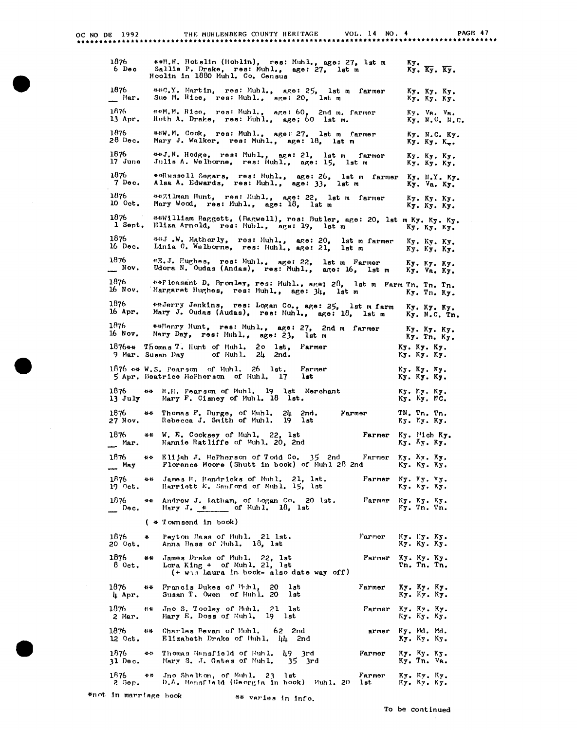| OC NO DE 1992                                                                    | THE MUHLENBERG COUNTY HERITAGE                                                                                                        | VOL. 14 NO. 4  | PAGE 47                                                                                     |
|----------------------------------------------------------------------------------|---------------------------------------------------------------------------------------------------------------------------------------|----------------|---------------------------------------------------------------------------------------------|
| 1876<br>6 Dec                                                                    | **H.H. Hotslin (Hoblin), res: Muhl., age: 27, lst m<br>Sallie P. Drake, res: Muhl., age: 27, lst m<br>Hoolin in 1880 Muhl. Co. Census |                | Ky.<br>$K_{\overline{y}}$ . $\overline{K_{\overline{y}}}$ . $\overline{K_{\overline{y}}}$ . |
| 1876<br>__ Mar.                                                                  | ##C.Y. Martin, res: Muhl., age: 25, lst m farmer<br>Sue M. Rice, res: Muhl., age: 20,<br>lst m                                        |                | Ку. Ку. Ку.<br>Ку. Ку. Ку.                                                                  |
| 1876<br>13 Apr.                                                                  | ##M.M. Rice, res: Muhl., age: 60, 2nd m. farmer<br>Ruth A. Drake, res: Muhl., age; 60 lst m.                                          |                | Ky. Va. Va.<br>Ky. N.C. N.C.                                                                |
| 1876<br>28 Dec.                                                                  | ##W.M. Cook, res: Muhl., age: 27, lst m farmer<br>Mary J. Walker, res: Muhl., age: 18, lst m                                          |                | Ky. N.C. Ky.<br>Ку. Ку. К                                                                   |
| 1876<br>17 June                                                                  | ##J.N. Hodge, res: Muhl., age: 21, lst m farmer<br>Julis A. Welborne, res: Muhl., age: 15, lst m                                      |                | Ку. Ку. Ку.<br>Ку. Ку. Ку.                                                                  |
| 1876<br>7 Dec.                                                                   | ##Rwssell Segars, res: Muhl., age: 26, lst m farmer<br>Alsa A. Edwards, res: Muhl., age: 33, lst m                                    |                | Ку. Н.Ү. Ку.<br>Ку. Va. Ку.                                                                 |
| 1876<br>10 Oct.                                                                  | ##Zilman Hunt, res: Huhl., age: 22, lst m farmer<br>Mary Wood, res: Muhl., age: 18, lst m                                             |                | Ку. Ку. Ку.<br>Ку. Ку. Ку.                                                                  |
| 1876<br>l Sept.                                                                  | ##William Baggett, (Bagwell), res: Butler, age: 20, lst m Ky. Ky. Ky.<br>Eliza Arnold, res: Muhl., age: 19, lst m                     |                | Ку. Ку. Ку.                                                                                 |
| 1876<br>16 Dec.                                                                  | ##J.W. Matherly, res: Muhl., age: 20, lst m farmer<br>Linia C. Welborne, res: Muhl., age: 21,                                         | lst m          | Ку. Ку. Ку.<br>Ку. Ку. Ку.                                                                  |
| 1876<br>$\sim$ Nov.                                                              | *E.J. Hughes, res: Muhl., age: 22, lst m Farmer<br>Udora N. Oudas (Andas), res: Muhl., age: 16, lst m                                 |                | Ку. Ку. Ку.<br>Ky. Va. Ky.                                                                  |
| 1876<br>16 Nov.                                                                  | sarleasant D. Bromley, res: Muhl., age; 28, lst m Farm Tn. Tn. Tn.<br>Margaret Hughes, res: Muhl., age: 34,                           | lst m          | Ky. Tn. Ky.                                                                                 |
| 1876<br>16 Apr.                                                                  | ##Jerry Jenkins, res: Logan Co., age: 25, lst m farm<br>Mary J. Oudas (Audas), res: Muhl., age: 18, lst m                             |                | Ку. Ку. Ку.<br>Ky. N.C. Tn.                                                                 |
| 1876<br>16 Nov.                                                                  | ##Henry Hunt, res: Muhl., age: 27, 2nd m farmer<br>Mary Day, res: Muhl., age: 23,<br>lst m                                            |                | Ку. Ку. Ку.<br>Ky. Tn. Ky.                                                                  |
| 1876** Thomas T. Hunt of Muhl.<br>9 Mar. Susan Day                               | $20$ lst,<br>Farmer<br>of Huhl.<br>24<br>2nd.                                                                                         |                | Ку. Ку. Ку.<br>К <b>у.</b> Ку. Ку.                                                          |
| $1076$ ## W.S. Pearson of Muhl. 26 lst.<br>5 Apr. Beatrice McPherson of Muhl. 17 | Farmer<br>lst                                                                                                                         |                | Ку. Ку. Ку.<br>Ку. Ку. Ку.                                                                  |
| 1876<br>特性<br>13 July                                                            | R.H. Pearson of Muhl. 19 1st Merchant<br>Mary F. Cisney of Muhl. 18 lst.                                                              |                | Ky. My. Ky.<br>Ку. Ку. МС.                                                                  |
| 1876<br>好好<br>27 Nov.                                                            | Thomas F. Burge, of Muhl.<br>24 2nd.<br>Rebecca J. Smith of Muhl.<br>-19<br>lst                                                       | Farmer         | TN. Tn. Tn.<br>Ку. Ку. Ку.                                                                  |
| 1876<br>Mar.                                                                     | ** W. K. Cooksey of Muhl. 22, lst<br>Nannie Ratliffe of Muhl. 20, 2nd                                                                 | Farmer         | Ky. Mich Ky.<br>Ку. <sup>К</sup> у. Ку.                                                     |
| 1876<br>长铃<br>May                                                                | Elijah J. McPherson of Todd Co. 35 2nd<br>Florence Moore (Shutt in book) of Muhl 28 2nd                                               | Farmer         | Ky. Ay. Ky.<br>Ку. Ку. Ку.                                                                  |
| 1876<br>县县<br>$19$ $0$ ct.                                                       | James H. Hendricks of Muhl. 21, 1st.<br>Harriett E. Sanford of Muhl. 15, 1st                                                          | Farmer         | Ky. Ky. Ky.<br>Ку. Ку. Ку.                                                                  |
| 1876<br>脊柱<br>$\mathbf{p}$ Dec.                                                  | Andrew J. Latham, of Logan Co. 20 lst.<br>Mary J. $\ast$ of Muhl. 18, 1st                                                             | Farmer         | Ку. Ку. Ку.<br>Ky. Tn. Tn.                                                                  |
| ( * Townsend in book)                                                            |                                                                                                                                       |                |                                                                                             |
| 1876<br>₩<br>20 Oct.                                                             | Peyton Bass of Muhl. 21 lst.<br>Anna Bass of Muhl. 18, 1st                                                                            | Farmer         | Ку. Гу. Ку.<br>Ку. Ку. Ку.                                                                  |
| 1876<br>**<br>8 Oct.                                                             | James Drake of Muhl. 22, 1st<br>Lora King $+$ of Muhl. 21, lst<br>(+ wis Laura in book- also date way off)                            | Farmer         | Ку. Ку. Ку.<br>Tn. Tn. Tn.                                                                  |
| 1876<br>特特<br>4 Apr.                                                             | Francis Dukes of Thinl,<br>20<br>lst<br>Susan T. Owen of Huhl. 20<br>lst                                                              | Farmer         | Ку. Ку. Ку.<br>Ку. Ку. К <b>у.</b>                                                          |
| 1876<br>Jno S. Tooley of Muhl.<br>長春<br>2 Mar.<br>Mary E. Doss of Muhl.          | $21$ lst<br>19 lst                                                                                                                    | Farmer         | Ку. Ку. Ку.<br>Ку. Ку. Ку.                                                                  |
| 1876<br>Charles Bevan of Muhl.<br>特殊<br>12 Oct.                                  | 62 2nd<br>Elizabeth Drake of Muhl. 44 2nd                                                                                             | armer          | Ky. Md. Md.<br>Ку. Ку. Ку.                                                                  |
| 1876<br>41.11<br>$31$ Dec.                                                       | Thomas Mansfield of Muhl. 49 3rd<br>Mary S. J. Gates of Muhl.<br>- 35<br>- 3rd                                                        | Farmer         | Ку. Ку. Ку.<br>Ky. Tn. Va.                                                                  |
| 1876<br>书书<br>2 Sep.                                                             | Jno Shelton, of Muhl. 23 lat<br>D.A. Mansfield (Georgia in book) Muhl. 20                                                             | Farmer<br>1st. | Ку. Ку. Ку.<br>Ку. Ку. Ку.                                                                  |

#not in marriage book

 $\bar{z}$ 

<sup>\*\*</sup> varies in info.